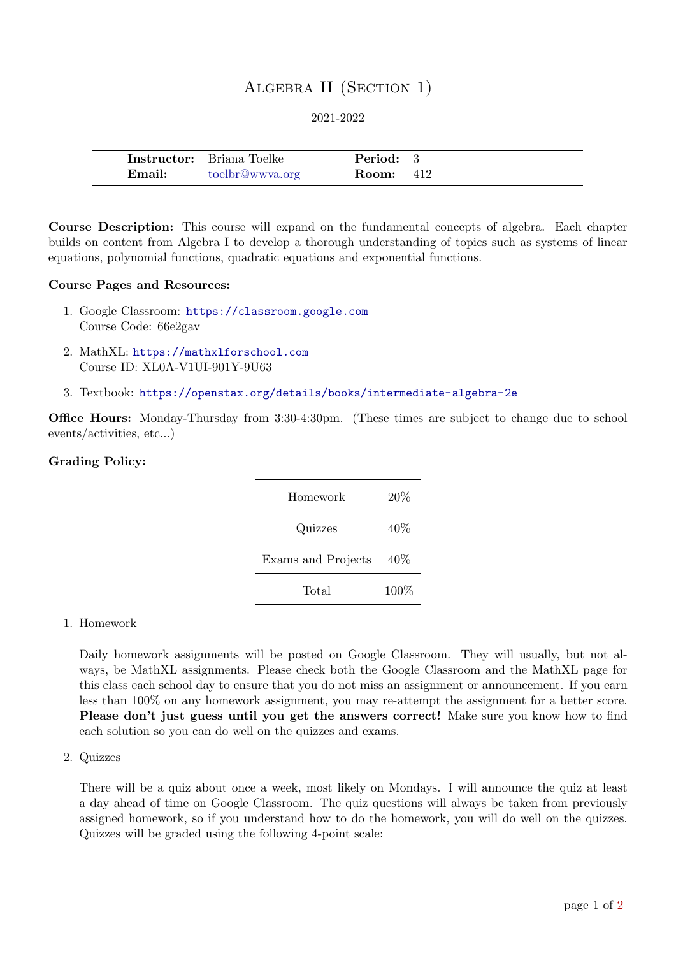# Algebra II (Section 1)

2021-2022

|        | <b>Instructor:</b> Briana Toelke | Period: 3        |  |
|--------|----------------------------------|------------------|--|
| Email: | toelbr@wwya.org                  | <b>Room:</b> 412 |  |

Course Description: This course will expand on the fundamental concepts of algebra. Each chapter builds on content from Algebra I to develop a thorough understanding of topics such as systems of linear equations, polynomial functions, quadratic equations and exponential functions.

#### Course Pages and Resources:

- 1. Google Classroom: <https://classroom.google.com> Course Code: 66e2gav
- 2. MathXL: <https://mathxlforschool.com> Course ID: XL0A-V1UI-901Y-9U63
- 3. Textbook: <https://openstax.org/details/books/intermediate-algebra-2e>

Office Hours: Monday-Thursday from 3:30-4:30pm. (These times are subject to change due to school events/activities, etc...)

## Grading Policy:

| Homework           | 20%    |
|--------------------|--------|
| Quizzes            | 40\%   |
| Exams and Projects | $40\%$ |
| Total              | 100%   |

#### 1. Homework

Daily homework assignments will be posted on Google Classroom. They will usually, but not always, be MathXL assignments. Please check both the Google Classroom and the MathXL page for this class each school day to ensure that you do not miss an assignment or announcement. If you earn less than 100% on any homework assignment, you may re-attempt the assignment for a better score. Please don't just guess until you get the answers correct! Make sure you know how to find each solution so you can do well on the quizzes and exams.

2. Quizzes

There will be a quiz about once a week, most likely on Mondays. I will announce the quiz at least a day ahead of time on Google Classroom. The quiz questions will always be taken from previously assigned homework, so if you understand how to do the homework, you will do well on the quizzes. Quizzes will be graded using the following 4-point scale: